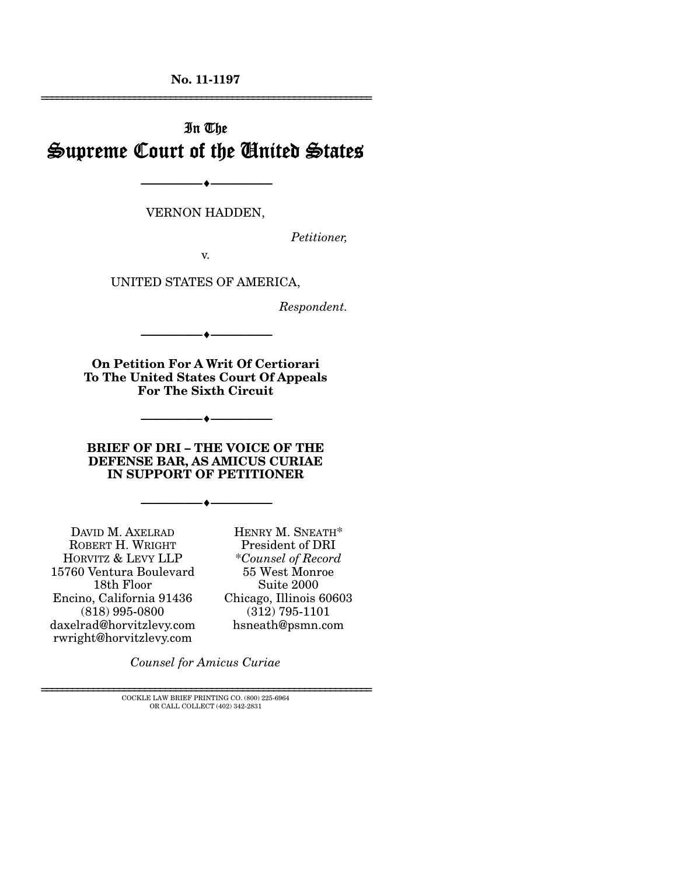**No. 11-1197**  ================================================================

# In The Supreme Court of the United States

VERNON HADDEN,

--------------------------------- ---------------------------------

*Petitioner,* 

v.

UNITED STATES OF AMERICA,

*Respondent.* 

**On Petition For A Writ Of Certiorari To The United States Court Of Appeals For The Sixth Circuit** 

--------------------------------- ---------------------------------

--------------------------------- ---------------------------------

**BRIEF OF DRI – THE VOICE OF THE DEFENSE BAR, AS AMICUS CURIAE IN SUPPORT OF PETITIONER** 

--------------------------------- ---------------------------------

DAVID M. AXELRAD ROBERT H. WRIGHT HORVITZ & LEVY LLP 15760 Ventura Boulevard 18th Floor Encino, California 91436 (818) 995-0800 daxelrad@horvitzlevy.com rwright@horvitzlevy.com

HENRY M. SNEATH\* President of DRI \**Counsel of Record* 55 West Monroe Suite 2000 Chicago, Illinois 60603 (312) 795-1101 hsneath@psmn.com

*Counsel for Amicus Curiae* 

================================================================ COCKLE LAW BRIEF PRINTING CO. (800) 225-6964 OR CALL COLLECT (402) 342-2831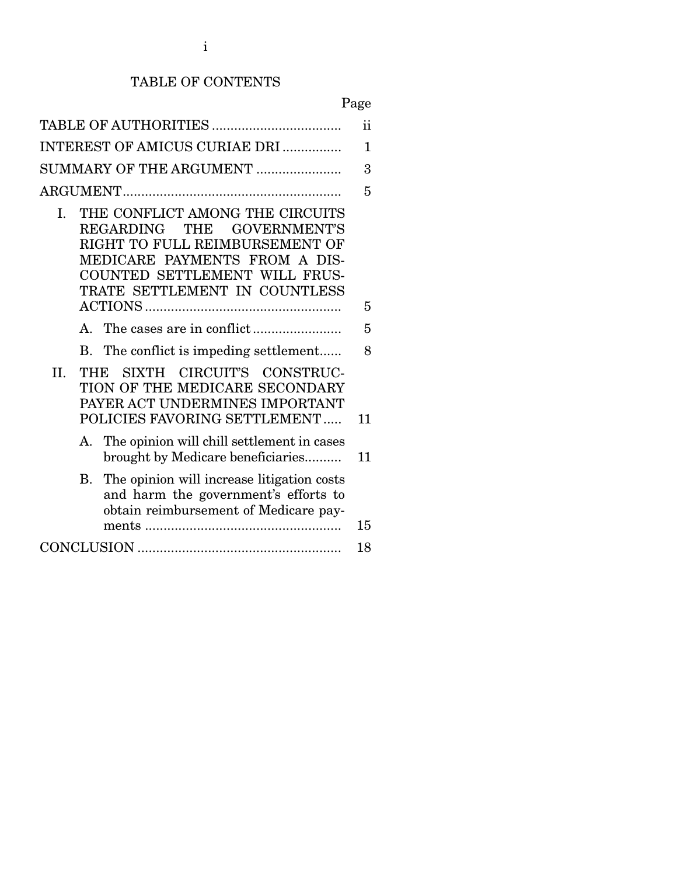## TABLE OF CONTENTS

# Page

| ii                            |             |                                                                                                                                                                                                    |    |  |
|-------------------------------|-------------|----------------------------------------------------------------------------------------------------------------------------------------------------------------------------------------------------|----|--|
| INTEREST OF AMICUS CURIAE DRI |             |                                                                                                                                                                                                    |    |  |
| SUMMARY OF THE ARGUMENT       |             |                                                                                                                                                                                                    | 3  |  |
|                               |             |                                                                                                                                                                                                    | 5  |  |
| $\mathbf{L}$                  |             | THE CONFLICT AMONG THE CIRCUITS<br>REGARDING THE GOVERNMENT'S<br>RIGHT TO FULL REIMBURSEMENT OF<br>MEDICARE PAYMENTS FROM A DIS-<br>COUNTED SETTLEMENT WILL FRUS-<br>TRATE SETTLEMENT IN COUNTLESS |    |  |
|                               |             |                                                                                                                                                                                                    | 5  |  |
|                               | $A_{\cdot}$ |                                                                                                                                                                                                    | 5  |  |
|                               | В.          | The conflict is impeding settlement                                                                                                                                                                | 8  |  |
| II.                           | THE         | SIXTH CIRCUIT'S CONSTRUC-<br>TION OF THE MEDICARE SECONDARY<br>PAYER ACT UNDERMINES IMPORTANT<br>POLICIES FAVORING SETTLEMENT                                                                      | 11 |  |
|                               | А.          | The opinion will chill settlement in cases<br>brought by Medicare beneficiaries                                                                                                                    | 11 |  |
|                               | В.          | The opinion will increase litigation costs<br>and harm the government's efforts to<br>obtain reimbursement of Medicare pay-                                                                        | 15 |  |
|                               |             |                                                                                                                                                                                                    | 18 |  |
|                               |             |                                                                                                                                                                                                    |    |  |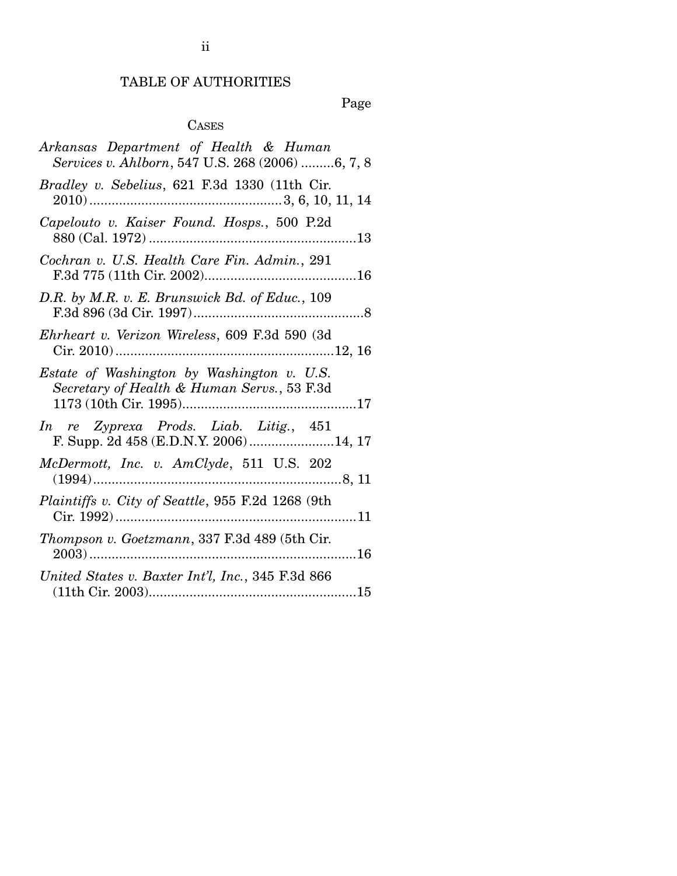# TABLE OF AUTHORITIES

Page

## CASES

| Arkansas Department of Health & Human<br>Services v. Ahlborn, 547 U.S. 268 (2006) 6, 7, 8 |
|-------------------------------------------------------------------------------------------|
| Bradley v. Sebelius, 621 F.3d 1330 (11th Cir.                                             |
| Capelouto v. Kaiser Found. Hosps., 500 P.2d                                               |
| Cochran v. U.S. Health Care Fin. Admin., 291                                              |
| D.R. by M.R. v. E. Brunswick Bd. of Educ., 109                                            |
| Ehrheart v. Verizon Wireless, 609 F.3d 590 (3d                                            |
| Estate of Washington by Washington v. U.S.<br>Secretary of Health & Human Servs., 53 F.3d |
| In re Zyprexa Prods. Liab. Litig., 451<br>F. Supp. 2d 458 (E.D.N.Y. 2006)14, 17           |
| McDermott, Inc. v. AmClyde, 511 U.S. 202                                                  |
| Plaintiffs v. City of Seattle, 955 F.2d 1268 (9th                                         |
| Thompson v. Goetzmann, 337 F.3d 489 (5th Cir.                                             |
| United States v. Baxter Int'l, Inc., 345 F.3d 866                                         |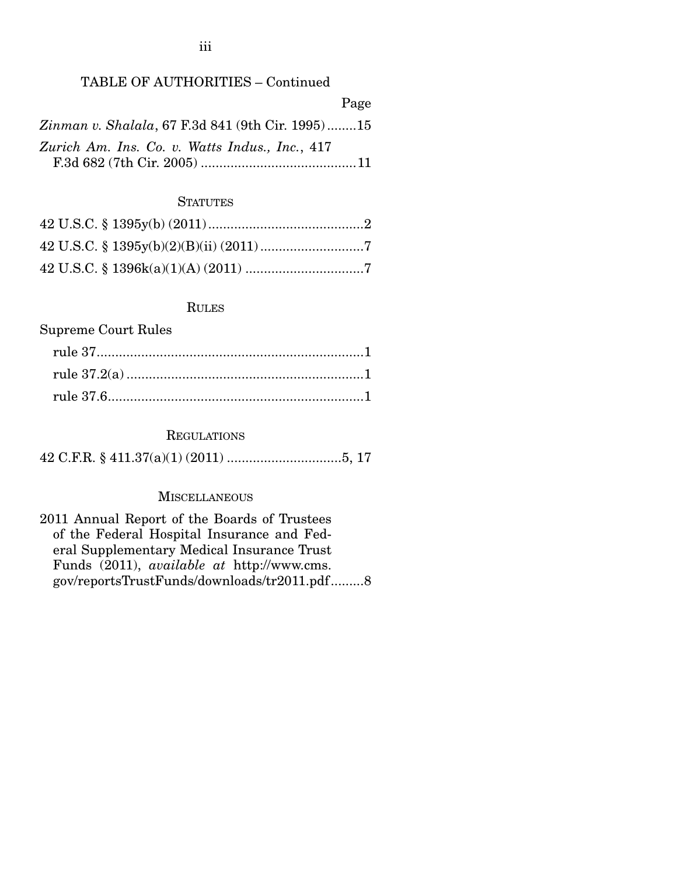### TABLE OF AUTHORITIES – Continued

|                                                         | Page |
|---------------------------------------------------------|------|
| <i>Zinman v. Shalala, 67 F.3d 841 (9th Cir. 1995)15</i> |      |
| Zurich Am. Ins. Co. v. Watts Indus., Inc., 417          |      |
|                                                         |      |

### **STATUTES**

#### RULES

## Supreme Court Rules

### **REGULATIONS**

42 C.F.R. § 411.37(a)(1) (2011) ............................... 5, 17

### **MISCELLANEOUS**

2011 Annual Report of the Boards of Trustees of the Federal Hospital Insurance and Federal Supplementary Medical Insurance Trust Funds (2011), *available at* http://www.cms. gov/reportsTrustFunds/downloads/tr2011.pdf ......... 8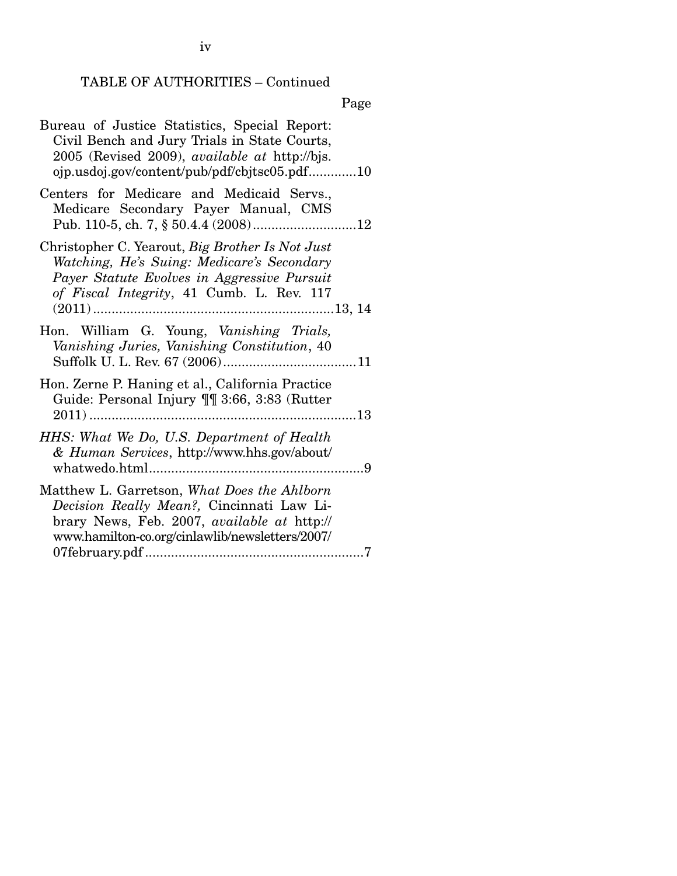# TABLE OF AUTHORITIES – Continued

Page

| Bureau of Justice Statistics, Special Report:<br>Civil Bench and Jury Trials in State Courts,<br>2005 (Revised 2009), <i>available at http://bjs.</i><br>ojp.usdoj.gov/content/pub/pdf/cbjtsc05.pdf10 |
|-------------------------------------------------------------------------------------------------------------------------------------------------------------------------------------------------------|
| Centers for Medicare and Medicaid Servs.,<br>Medicare Secondary Payer Manual, CMS                                                                                                                     |
| Christopher C. Yearout, Big Brother Is Not Just<br>Watching, He's Suing: Medicare's Secondary<br>Payer Statute Evolves in Aggressive Pursuit<br>of Fiscal Integrity, 41 Cumb. L. Rev. 117             |
| Hon. William G. Young, Vanishing Trials,<br>Vanishing Juries, Vanishing Constitution, 40                                                                                                              |
| Hon. Zerne P. Haning et al., California Practice<br>Guide: Personal Injury ¶¶ 3:66, 3:83 (Rutter                                                                                                      |
| HHS: What We Do, U.S. Department of Health<br>& Human Services, http://www.hhs.gov/about/                                                                                                             |
| Matthew L. Garretson, What Does the Ahlborn<br>Decision Really Mean?, Cincinnati Law Li-<br>brary News, Feb. 2007, available at http://<br>www.hamilton-co.org/cinlawlib/newsletters/2007/            |

iv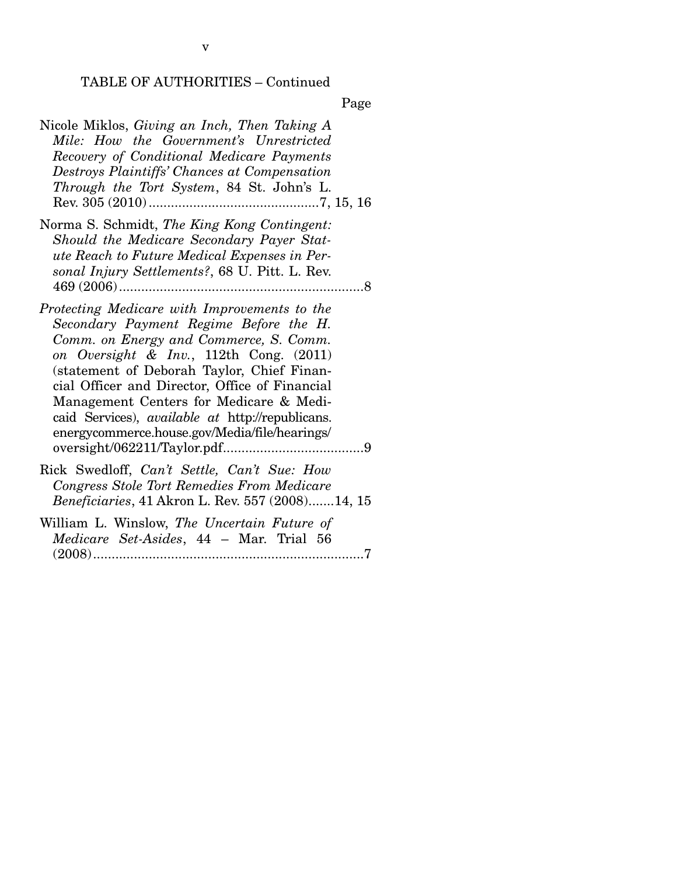## TABLE OF AUTHORITIES – Continued

Page

| Nicole Miklos, Giving an Inch, Then Taking A<br>Mile: How the Government's Unrestricted<br>Recovery of Conditional Medicare Payments<br>Destroys Plaintiffs' Chances at Compensation<br>Through the Tort System, 84 St. John's L.                                                                                                                                                                                                    |
|--------------------------------------------------------------------------------------------------------------------------------------------------------------------------------------------------------------------------------------------------------------------------------------------------------------------------------------------------------------------------------------------------------------------------------------|
| Norma S. Schmidt, The King Kong Contingent:<br>Should the Medicare Secondary Payer Stat-<br>ute Reach to Future Medical Expenses in Per-<br>sonal Injury Settlements?, 68 U. Pitt. L. Rev.                                                                                                                                                                                                                                           |
| Protecting Medicare with Improvements to the<br>Secondary Payment Regime Before the H.<br>Comm. on Energy and Commerce, S. Comm.<br>on Oversight & Inv., 112th Cong. $(2011)$<br>(statement of Deborah Taylor, Chief Finan-<br>cial Officer and Director, Office of Financial<br>Management Centers for Medicare & Medi-<br>caid Services), <i>available at</i> http://republicans.<br>energycommerce.house.gov/Media/file/hearings/ |
| Rick Swedloff, Can't Settle, Can't Sue: How<br>Congress Stole Tort Remedies From Medicare<br>Beneficiaries, 41 Akron L. Rev. 557 (2008)14, 15                                                                                                                                                                                                                                                                                        |
| William L. Winslow, The Uncertain Future of<br>Medicare Set-Asides, 44 - Mar. Trial 56                                                                                                                                                                                                                                                                                                                                               |

(2008) ......................................................................... 7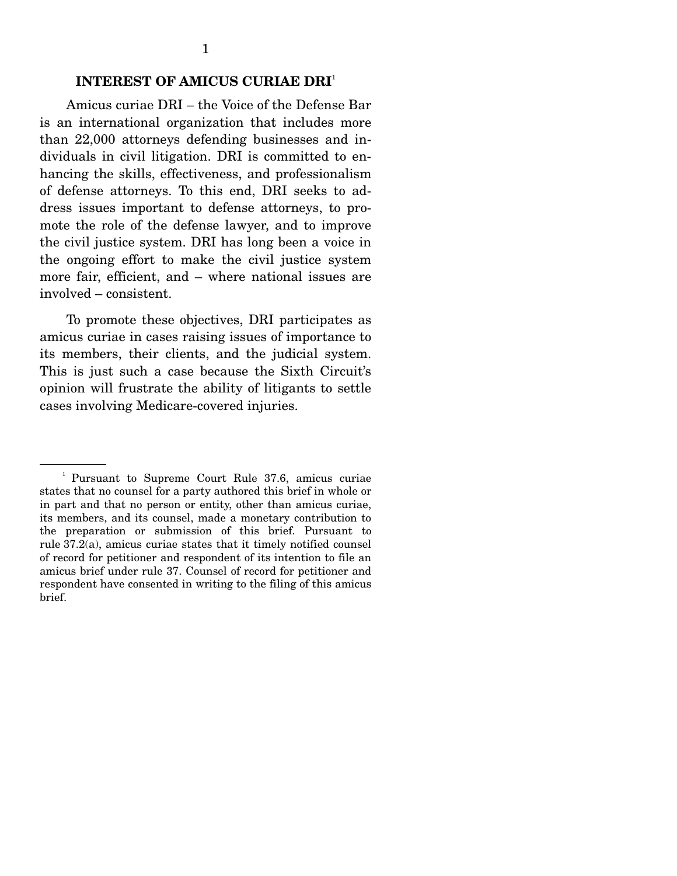### **INTEREST OF AMICUS CURIAE DRI**<sup>1</sup>

 Amicus curiae DRI – the Voice of the Defense Bar is an international organization that includes more than 22,000 attorneys defending businesses and individuals in civil litigation. DRI is committed to enhancing the skills, effectiveness, and professionalism of defense attorneys. To this end, DRI seeks to address issues important to defense attorneys, to promote the role of the defense lawyer, and to improve the civil justice system. DRI has long been a voice in the ongoing effort to make the civil justice system more fair, efficient, and – where national issues are involved – consistent.

 To promote these objectives, DRI participates as amicus curiae in cases raising issues of importance to its members, their clients, and the judicial system. This is just such a case because the Sixth Circuit's opinion will frustrate the ability of litigants to settle cases involving Medicare-covered injuries.

<sup>1</sup> Pursuant to Supreme Court Rule 37.6, amicus curiae states that no counsel for a party authored this brief in whole or in part and that no person or entity, other than amicus curiae, its members, and its counsel, made a monetary contribution to the preparation or submission of this brief. Pursuant to rule 37.2(a), amicus curiae states that it timely notified counsel of record for petitioner and respondent of its intention to file an amicus brief under rule 37. Counsel of record for petitioner and respondent have consented in writing to the filing of this amicus brief.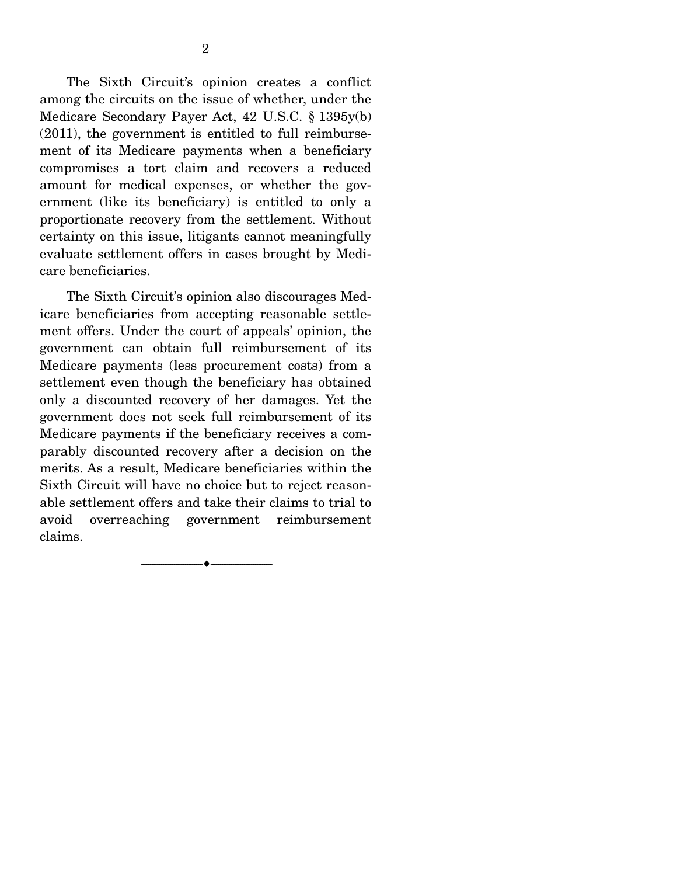The Sixth Circuit's opinion creates a conflict among the circuits on the issue of whether, under the Medicare Secondary Payer Act, 42 U.S.C. § 1395y(b) (2011), the government is entitled to full reimbursement of its Medicare payments when a beneficiary compromises a tort claim and recovers a reduced amount for medical expenses, or whether the government (like its beneficiary) is entitled to only a proportionate recovery from the settlement. Without certainty on this issue, litigants cannot meaningfully evaluate settlement offers in cases brought by Medicare beneficiaries.

 The Sixth Circuit's opinion also discourages Medicare beneficiaries from accepting reasonable settlement offers. Under the court of appeals' opinion, the government can obtain full reimbursement of its Medicare payments (less procurement costs) from a settlement even though the beneficiary has obtained only a discounted recovery of her damages. Yet the government does not seek full reimbursement of its Medicare payments if the beneficiary receives a comparably discounted recovery after a decision on the merits. As a result, Medicare beneficiaries within the Sixth Circuit will have no choice but to reject reasonable settlement offers and take their claims to trial to avoid overreaching government reimbursement claims.

--------------------------------- ---------------------------------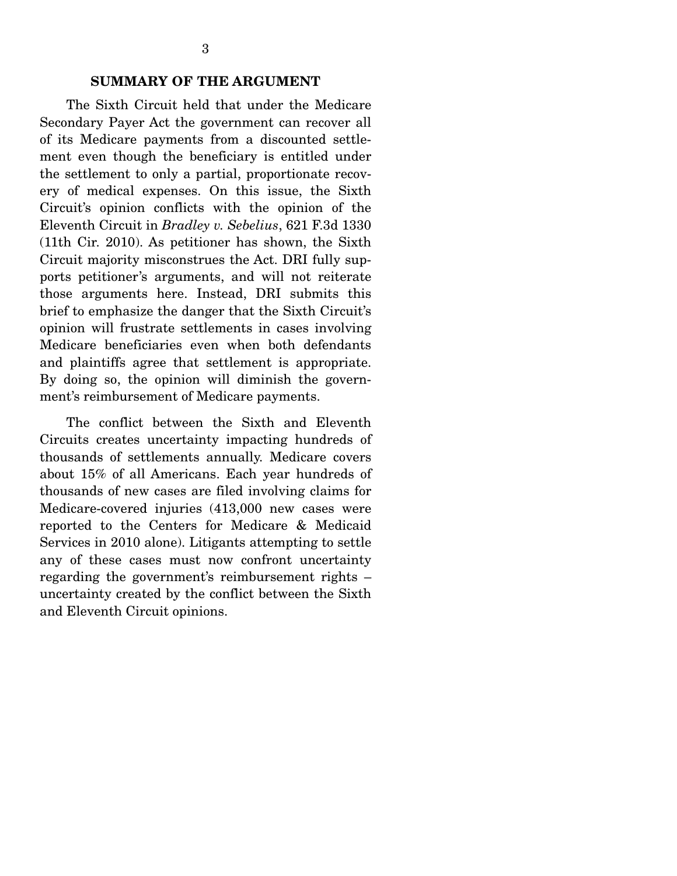The Sixth Circuit held that under the Medicare Secondary Payer Act the government can recover all of its Medicare payments from a discounted settlement even though the beneficiary is entitled under the settlement to only a partial, proportionate recovery of medical expenses. On this issue, the Sixth Circuit's opinion conflicts with the opinion of the Eleventh Circuit in *Bradley v. Sebelius*, 621 F.3d 1330 (11th Cir. 2010). As petitioner has shown, the Sixth Circuit majority misconstrues the Act. DRI fully supports petitioner's arguments, and will not reiterate those arguments here. Instead, DRI submits this brief to emphasize the danger that the Sixth Circuit's opinion will frustrate settlements in cases involving Medicare beneficiaries even when both defendants and plaintiffs agree that settlement is appropriate. By doing so, the opinion will diminish the government's reimbursement of Medicare payments.

 The conflict between the Sixth and Eleventh Circuits creates uncertainty impacting hundreds of thousands of settlements annually. Medicare covers about 15% of all Americans. Each year hundreds of thousands of new cases are filed involving claims for Medicare-covered injuries (413,000 new cases were reported to the Centers for Medicare & Medicaid Services in 2010 alone). Litigants attempting to settle any of these cases must now confront uncertainty regarding the government's reimbursement rights – uncertainty created by the conflict between the Sixth and Eleventh Circuit opinions.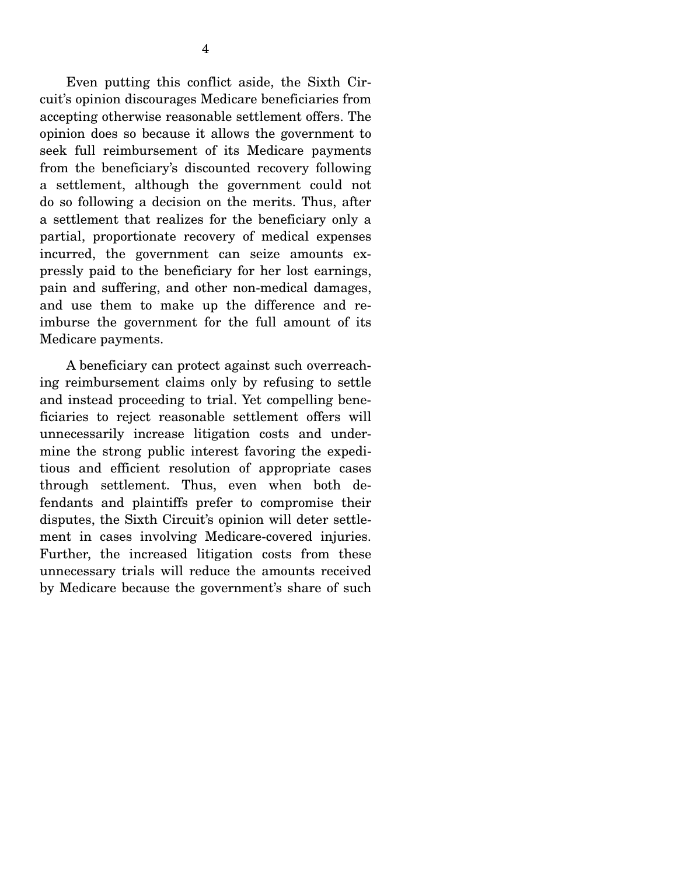Even putting this conflict aside, the Sixth Circuit's opinion discourages Medicare beneficiaries from accepting otherwise reasonable settlement offers. The opinion does so because it allows the government to seek full reimbursement of its Medicare payments from the beneficiary's discounted recovery following a settlement, although the government could not do so following a decision on the merits. Thus, after a settlement that realizes for the beneficiary only a partial, proportionate recovery of medical expenses incurred, the government can seize amounts expressly paid to the beneficiary for her lost earnings, pain and suffering, and other non-medical damages, and use them to make up the difference and reimburse the government for the full amount of its Medicare payments.

 A beneficiary can protect against such overreaching reimbursement claims only by refusing to settle and instead proceeding to trial. Yet compelling beneficiaries to reject reasonable settlement offers will unnecessarily increase litigation costs and undermine the strong public interest favoring the expeditious and efficient resolution of appropriate cases through settlement. Thus, even when both defendants and plaintiffs prefer to compromise their disputes, the Sixth Circuit's opinion will deter settlement in cases involving Medicare-covered injuries. Further, the increased litigation costs from these unnecessary trials will reduce the amounts received by Medicare because the government's share of such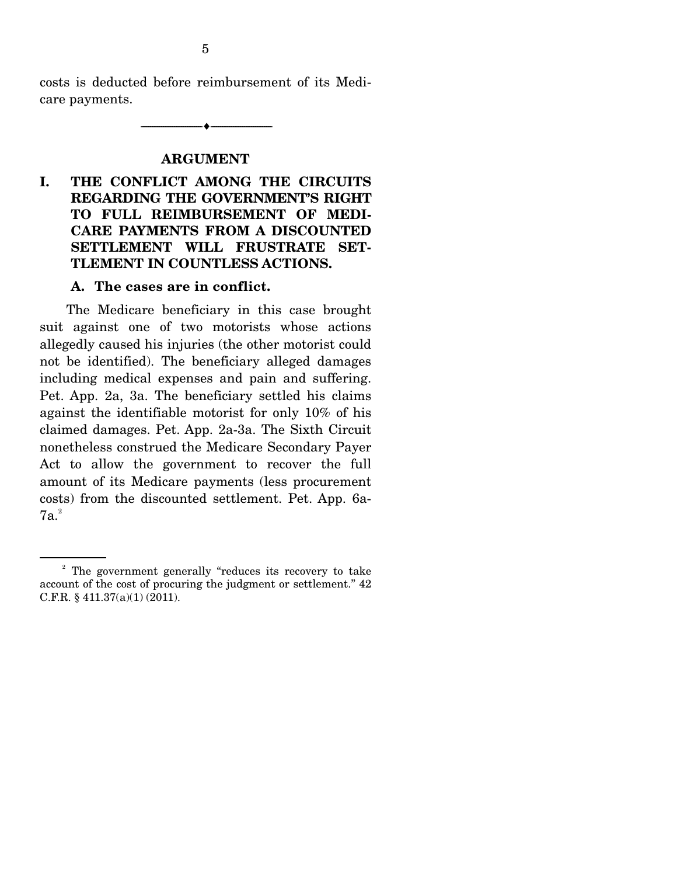costs is deducted before reimbursement of its Medicare payments.

--------------------------------- ---------------------------------

### **ARGUMENT**

**I. THE CONFLICT AMONG THE CIRCUITS REGARDING THE GOVERNMENT'S RIGHT TO FULL REIMBURSEMENT OF MEDI-CARE PAYMENTS FROM A DISCOUNTED SETTLEMENT WILL FRUSTRATE SET-TLEMENT IN COUNTLESS ACTIONS.** 

### **A. The cases are in conflict.**

 The Medicare beneficiary in this case brought suit against one of two motorists whose actions allegedly caused his injuries (the other motorist could not be identified). The beneficiary alleged damages including medical expenses and pain and suffering. Pet. App. 2a, 3a. The beneficiary settled his claims against the identifiable motorist for only 10% of his claimed damages. Pet. App. 2a-3a. The Sixth Circuit nonetheless construed the Medicare Secondary Payer Act to allow the government to recover the full amount of its Medicare payments (less procurement costs) from the discounted settlement. Pet. App. 6a- $7a.<sup>2</sup>$ 

<sup>&</sup>lt;sup>2</sup> The government generally "reduces its recovery to take account of the cost of procuring the judgment or settlement." 42 C.F.R. § 411.37(a)(1) (2011).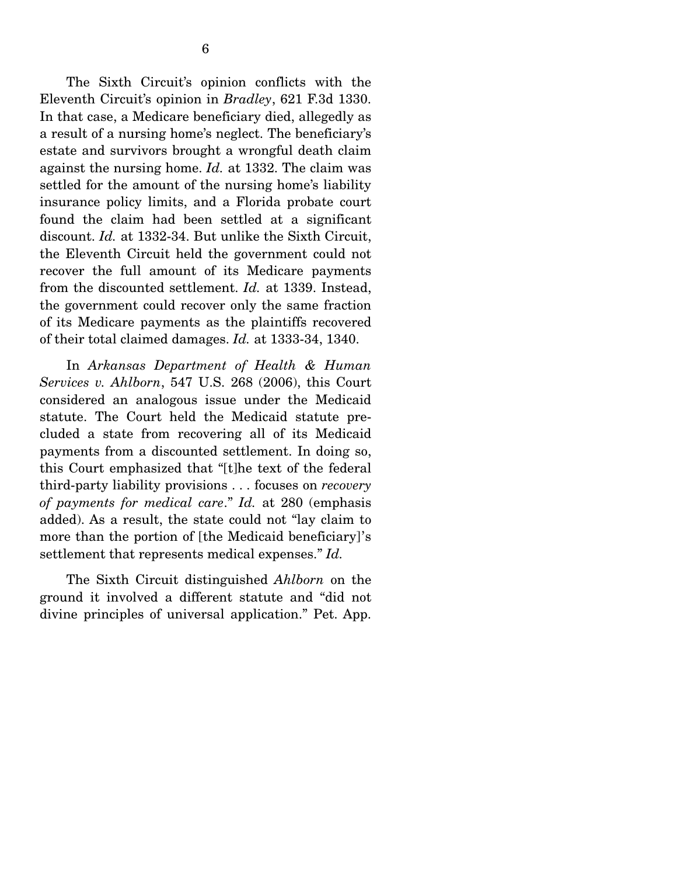The Sixth Circuit's opinion conflicts with the Eleventh Circuit's opinion in *Bradley*, 621 F.3d 1330. In that case, a Medicare beneficiary died, allegedly as a result of a nursing home's neglect. The beneficiary's estate and survivors brought a wrongful death claim against the nursing home. *Id.* at 1332. The claim was settled for the amount of the nursing home's liability insurance policy limits, and a Florida probate court found the claim had been settled at a significant discount. *Id.* at 1332-34. But unlike the Sixth Circuit, the Eleventh Circuit held the government could not recover the full amount of its Medicare payments from the discounted settlement. *Id.* at 1339. Instead, the government could recover only the same fraction of its Medicare payments as the plaintiffs recovered of their total claimed damages. *Id.* at 1333-34, 1340.

 In *Arkansas Department of Health & Human Services v. Ahlborn*, 547 U.S. 268 (2006), this Court considered an analogous issue under the Medicaid statute. The Court held the Medicaid statute precluded a state from recovering all of its Medicaid payments from a discounted settlement. In doing so, this Court emphasized that "[t]he text of the federal third-party liability provisions . . . focuses on *recovery of payments for medical care*." *Id.* at 280 (emphasis added). As a result, the state could not "lay claim to more than the portion of [the Medicaid beneficiary]'s settlement that represents medical expenses." *Id.*

 The Sixth Circuit distinguished *Ahlborn* on the ground it involved a different statute and "did not divine principles of universal application." Pet. App.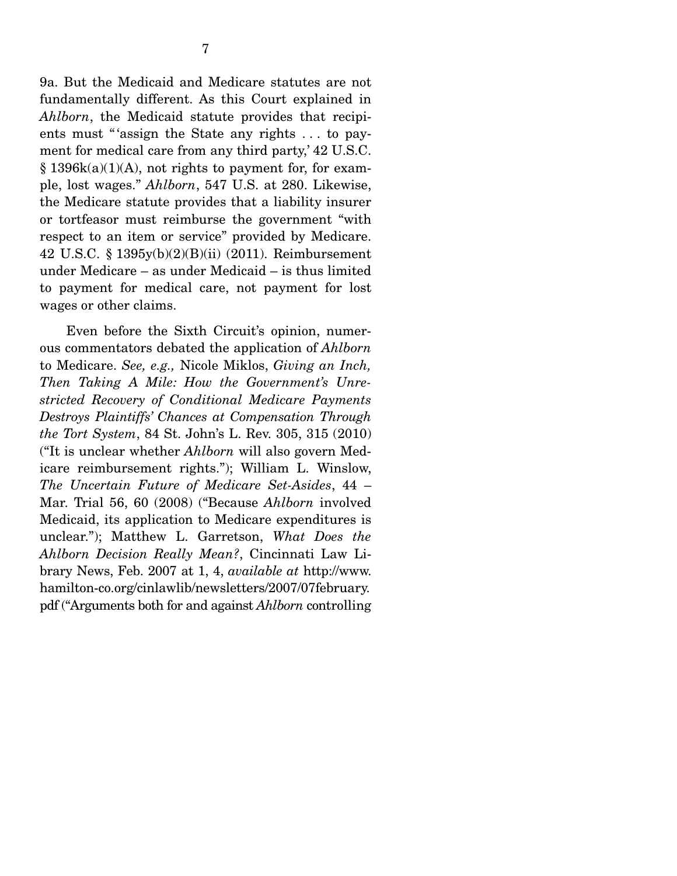9a. But the Medicaid and Medicare statutes are not fundamentally different. As this Court explained in *Ahlborn*, the Medicaid statute provides that recipients must "'assign the State any rights ... to payment for medical care from any third party,' 42 U.S.C.  $§$  1396k(a)(1)(A), not rights to payment for, for example, lost wages." *Ahlborn*, 547 U.S. at 280. Likewise, the Medicare statute provides that a liability insurer or tortfeasor must reimburse the government "with respect to an item or service" provided by Medicare. 42 U.S.C. § 1395y(b)(2)(B)(ii) (2011). Reimbursement under Medicare – as under Medicaid – is thus limited to payment for medical care, not payment for lost wages or other claims.

 Even before the Sixth Circuit's opinion, numerous commentators debated the application of *Ahlborn* to Medicare. *See, e.g.,* Nicole Miklos, *Giving an Inch, Then Taking A Mile: How the Government's Unrestricted Recovery of Conditional Medicare Payments Destroys Plaintiffs' Chances at Compensation Through the Tort System*, 84 St. John's L. Rev. 305, 315 (2010) ("It is unclear whether *Ahlborn* will also govern Medicare reimbursement rights."); William L. Winslow, *The Uncertain Future of Medicare Set-Asides*, 44 – Mar. Trial 56, 60 (2008) ("Because *Ahlborn* involved Medicaid, its application to Medicare expenditures is unclear."); Matthew L. Garretson, *What Does the Ahlborn Decision Really Mean?*, Cincinnati Law Library News, Feb. 2007 at 1, 4, *available at* http://www. hamilton-co.org/cinlawlib/newsletters/2007/07february. pdf ("Arguments both for and against *Ahlborn* controlling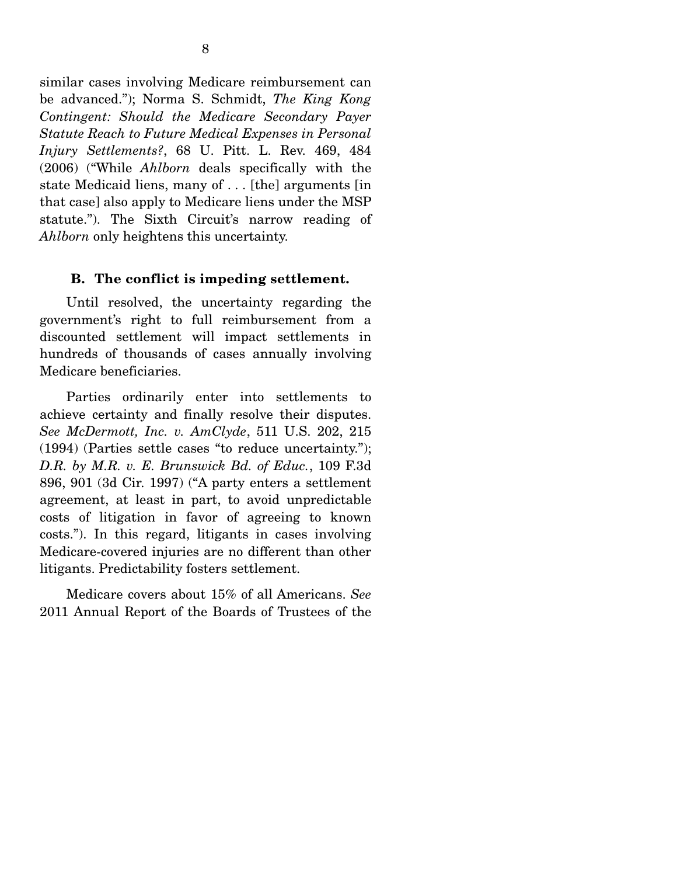similar cases involving Medicare reimbursement can be advanced."); Norma S. Schmidt, *The King Kong Contingent: Should the Medicare Secondary Payer Statute Reach to Future Medical Expenses in Personal Injury Settlements?*, 68 U. Pitt. L. Rev. 469, 484 (2006) ("While *Ahlborn* deals specifically with the state Medicaid liens, many of . . . [the] arguments [in that case] also apply to Medicare liens under the MSP statute."). The Sixth Circuit's narrow reading of *Ahlborn* only heightens this uncertainty.

#### **B. The conflict is impeding settlement.**

 Until resolved, the uncertainty regarding the government's right to full reimbursement from a discounted settlement will impact settlements in hundreds of thousands of cases annually involving Medicare beneficiaries.

 Parties ordinarily enter into settlements to achieve certainty and finally resolve their disputes. *See McDermott, Inc. v. AmClyde*, 511 U.S. 202, 215 (1994) (Parties settle cases "to reduce uncertainty."); *D.R. by M.R. v. E. Brunswick Bd. of Educ.*, 109 F.3d 896, 901 (3d Cir. 1997) ("A party enters a settlement agreement, at least in part, to avoid unpredictable costs of litigation in favor of agreeing to known costs."). In this regard, litigants in cases involving Medicare-covered injuries are no different than other litigants. Predictability fosters settlement.

 Medicare covers about 15% of all Americans. *See*  2011 Annual Report of the Boards of Trustees of the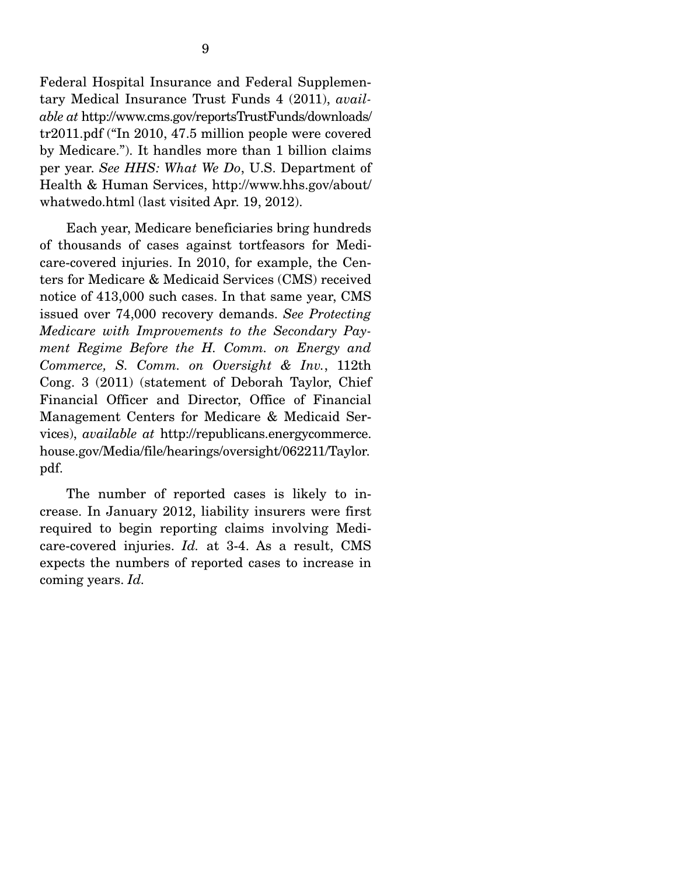Federal Hospital Insurance and Federal Supplementary Medical Insurance Trust Funds 4 (2011), *available at* http://www.cms.gov/reportsTrustFunds/downloads/ tr2011.pdf ("In 2010, 47.5 million people were covered by Medicare."). It handles more than 1 billion claims per year. *See HHS: What We Do*, U.S. Department of Health & Human Services, http://www.hhs.gov/about/ whatwedo.html (last visited Apr. 19, 2012).

 Each year, Medicare beneficiaries bring hundreds of thousands of cases against tortfeasors for Medicare-covered injuries. In 2010, for example, the Centers for Medicare & Medicaid Services (CMS) received notice of 413,000 such cases. In that same year, CMS issued over 74,000 recovery demands. *See Protecting Medicare with Improvements to the Secondary Payment Regime Before the H. Comm. on Energy and Commerce, S. Comm. on Oversight & Inv.*, 112th Cong. 3 (2011) (statement of Deborah Taylor, Chief Financial Officer and Director, Office of Financial Management Centers for Medicare & Medicaid Services), *available at* http://republicans.energycommerce. house.gov/Media/file/hearings/oversight/062211/Taylor. pdf.

 The number of reported cases is likely to increase. In January 2012, liability insurers were first required to begin reporting claims involving Medicare-covered injuries. *Id.* at 3-4. As a result, CMS expects the numbers of reported cases to increase in coming years. *Id.*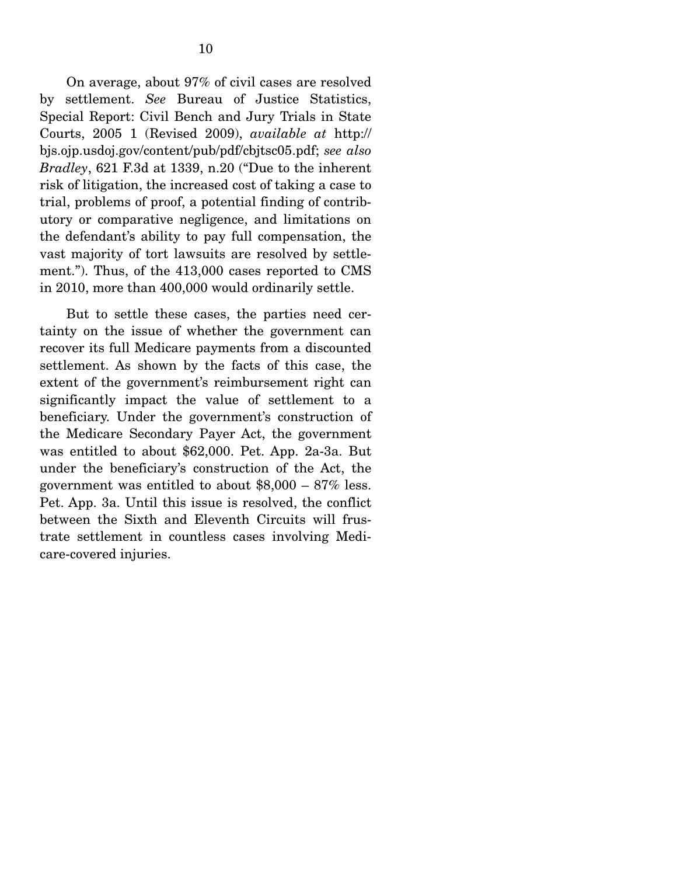On average, about 97% of civil cases are resolved by settlement. *See* Bureau of Justice Statistics, Special Report: Civil Bench and Jury Trials in State Courts, 2005 1 (Revised 2009), *available at* http:// bjs.ojp.usdoj.gov/content/pub/pdf/cbjtsc05.pdf; *see also Bradley*, 621 F.3d at 1339, n.20 ("Due to the inherent risk of litigation, the increased cost of taking a case to trial, problems of proof, a potential finding of contributory or comparative negligence, and limitations on the defendant's ability to pay full compensation, the vast majority of tort lawsuits are resolved by settlement."). Thus, of the 413,000 cases reported to CMS in 2010, more than 400,000 would ordinarily settle.

 But to settle these cases, the parties need certainty on the issue of whether the government can recover its full Medicare payments from a discounted settlement. As shown by the facts of this case, the extent of the government's reimbursement right can significantly impact the value of settlement to a beneficiary. Under the government's construction of the Medicare Secondary Payer Act, the government was entitled to about \$62,000. Pet. App. 2a-3a. But under the beneficiary's construction of the Act, the government was entitled to about  $$8,000 - 87\%$  less. Pet. App. 3a. Until this issue is resolved, the conflict between the Sixth and Eleventh Circuits will frustrate settlement in countless cases involving Medicare-covered injuries.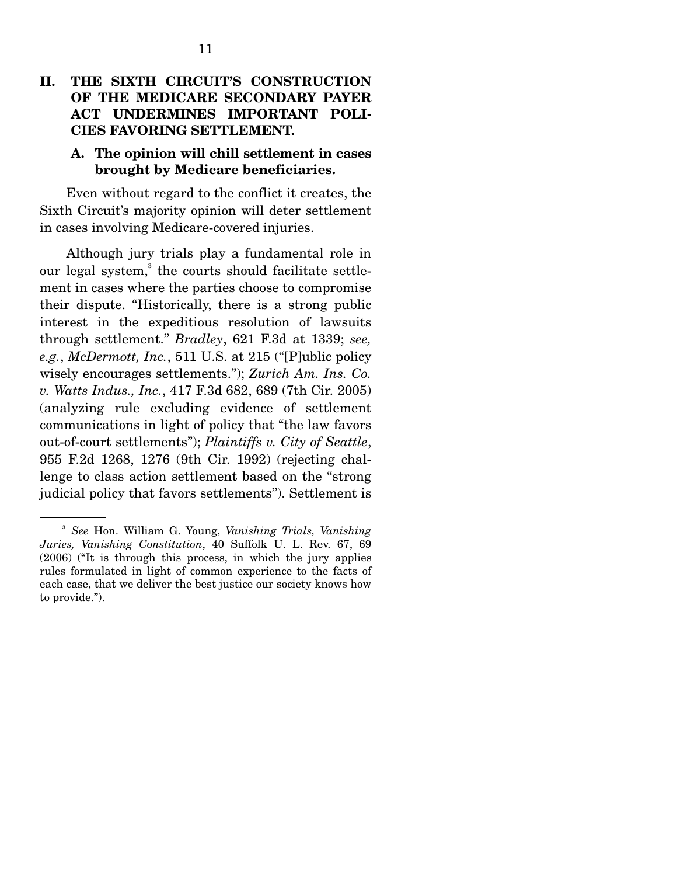## **II. THE SIXTH CIRCUIT'S CONSTRUCTION OF THE MEDICARE SECONDARY PAYER ACT UNDERMINES IMPORTANT POLI-CIES FAVORING SETTLEMENT.**

### **A. The opinion will chill settlement in cases brought by Medicare beneficiaries.**

 Even without regard to the conflict it creates, the Sixth Circuit's majority opinion will deter settlement in cases involving Medicare-covered injuries.

 Although jury trials play a fundamental role in our legal system,<sup>3</sup> the courts should facilitate settlement in cases where the parties choose to compromise their dispute. "Historically, there is a strong public interest in the expeditious resolution of lawsuits through settlement." *Bradley*, 621 F.3d at 1339; *see, e.g.*, *McDermott, Inc.*, 511 U.S. at 215 ("[P]ublic policy wisely encourages settlements."); *Zurich Am. Ins. Co. v. Watts Indus., Inc.*, 417 F.3d 682, 689 (7th Cir. 2005) (analyzing rule excluding evidence of settlement communications in light of policy that "the law favors out-of-court settlements"); *Plaintiffs v. City of Seattle*, 955 F.2d 1268, 1276 (9th Cir. 1992) (rejecting challenge to class action settlement based on the "strong judicial policy that favors settlements"). Settlement is

<sup>3</sup> *See* Hon. William G. Young, *Vanishing Trials, Vanishing Juries, Vanishing Constitution*, 40 Suffolk U. L. Rev. 67, 69 (2006) ("It is through this process, in which the jury applies rules formulated in light of common experience to the facts of each case, that we deliver the best justice our society knows how to provide.").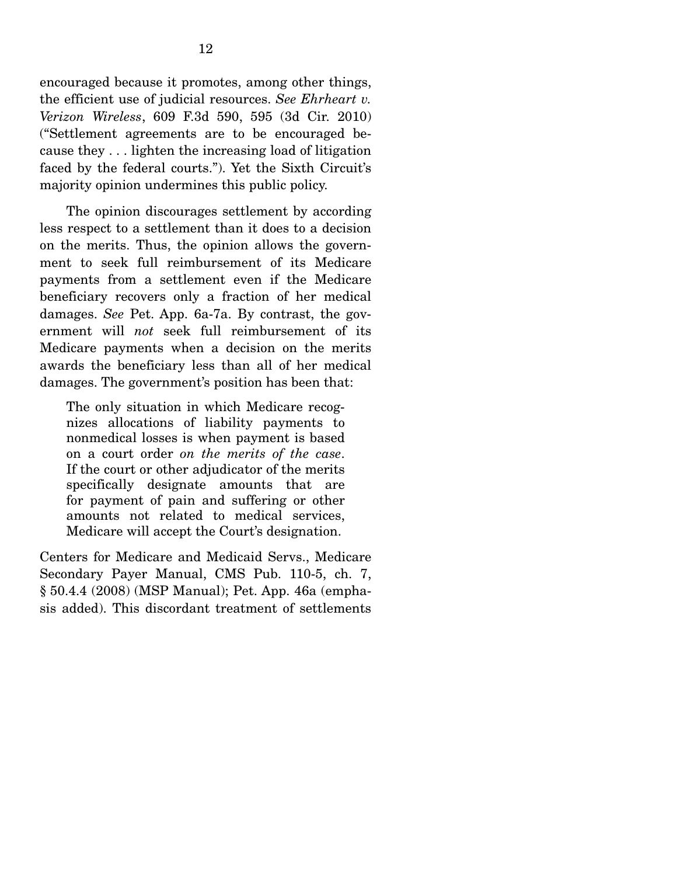encouraged because it promotes, among other things, the efficient use of judicial resources. *See Ehrheart v. Verizon Wireless*, 609 F.3d 590, 595 (3d Cir. 2010) ("Settlement agreements are to be encouraged because they . . . lighten the increasing load of litigation faced by the federal courts."). Yet the Sixth Circuit's majority opinion undermines this public policy.

 The opinion discourages settlement by according less respect to a settlement than it does to a decision on the merits. Thus, the opinion allows the government to seek full reimbursement of its Medicare payments from a settlement even if the Medicare beneficiary recovers only a fraction of her medical damages. *See* Pet. App. 6a-7a. By contrast, the government will *not* seek full reimbursement of its Medicare payments when a decision on the merits awards the beneficiary less than all of her medical damages. The government's position has been that:

The only situation in which Medicare recognizes allocations of liability payments to nonmedical losses is when payment is based on a court order *on the merits of the case*. If the court or other adjudicator of the merits specifically designate amounts that are for payment of pain and suffering or other amounts not related to medical services, Medicare will accept the Court's designation.

Centers for Medicare and Medicaid Servs., Medicare Secondary Payer Manual, CMS Pub. 110-5, ch. 7, § 50.4.4 (2008) (MSP Manual); Pet. App. 46a (emphasis added). This discordant treatment of settlements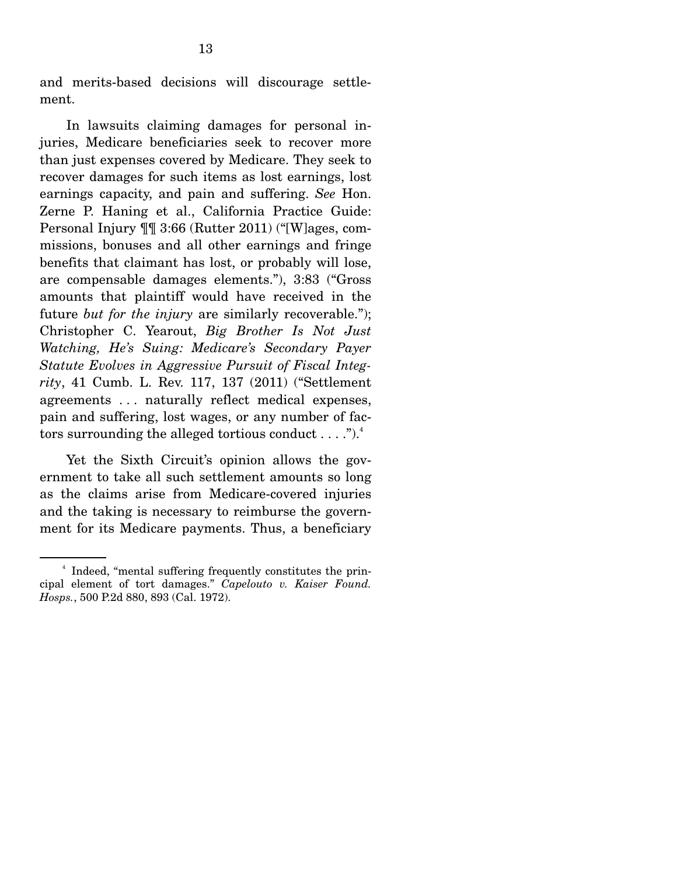and merits-based decisions will discourage settlement.

 In lawsuits claiming damages for personal injuries, Medicare beneficiaries seek to recover more than just expenses covered by Medicare. They seek to recover damages for such items as lost earnings, lost earnings capacity, and pain and suffering. *See* Hon. Zerne P. Haning et al., California Practice Guide: Personal Injury ¶¶ 3:66 (Rutter 2011) ("[W]ages, commissions, bonuses and all other earnings and fringe benefits that claimant has lost, or probably will lose, are compensable damages elements."), 3:83 ("Gross amounts that plaintiff would have received in the future *but for the injury* are similarly recoverable."); Christopher C. Yearout, *Big Brother Is Not Just Watching, He's Suing: Medicare's Secondary Payer Statute Evolves in Aggressive Pursuit of Fiscal Integrity*, 41 Cumb. L. Rev. 117, 137 (2011) ("Settlement agreements . . . naturally reflect medical expenses, pain and suffering, lost wages, or any number of factors surrounding the alleged tortious conduct  $\dots$ .").<sup>4</sup>

 Yet the Sixth Circuit's opinion allows the government to take all such settlement amounts so long as the claims arise from Medicare-covered injuries and the taking is necessary to reimburse the government for its Medicare payments. Thus, a beneficiary

<sup>4</sup> Indeed, "mental suffering frequently constitutes the principal element of tort damages." *Capelouto v. Kaiser Found. Hosps.*, 500 P.2d 880, 893 (Cal. 1972).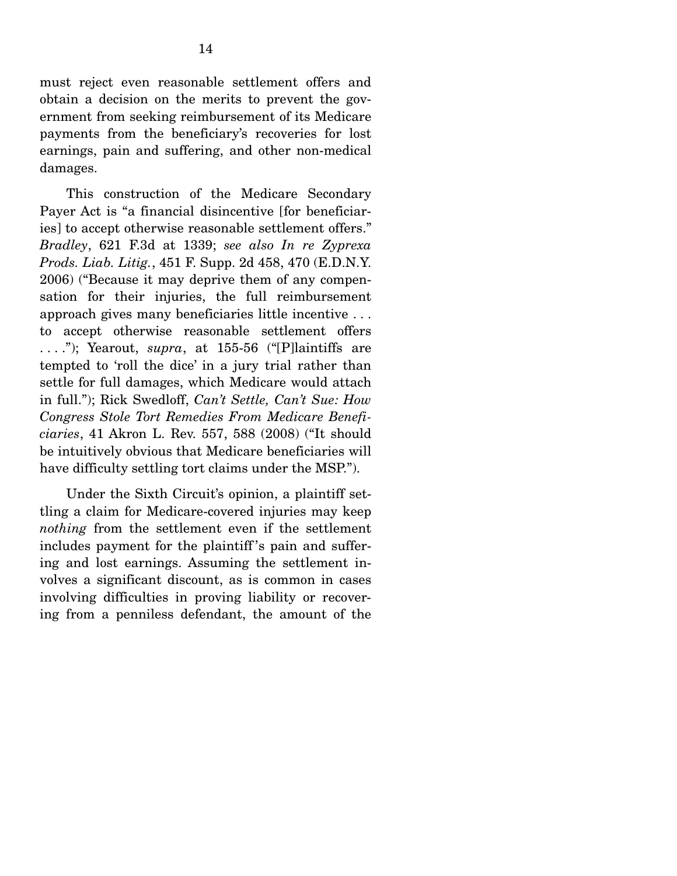must reject even reasonable settlement offers and obtain a decision on the merits to prevent the government from seeking reimbursement of its Medicare payments from the beneficiary's recoveries for lost earnings, pain and suffering, and other non-medical damages.

 This construction of the Medicare Secondary Payer Act is "a financial disincentive [for beneficiaries] to accept otherwise reasonable settlement offers." *Bradley*, 621 F.3d at 1339; *see also In re Zyprexa Prods. Liab. Litig.*, 451 F. Supp. 2d 458, 470 (E.D.N.Y. 2006) ("Because it may deprive them of any compensation for their injuries, the full reimbursement approach gives many beneficiaries little incentive . . . to accept otherwise reasonable settlement offers . . . ."); Yearout, *supra*, at 155-56 ("[P]laintiffs are tempted to 'roll the dice' in a jury trial rather than settle for full damages, which Medicare would attach in full."); Rick Swedloff, *Can't Settle, Can't Sue: How Congress Stole Tort Remedies From Medicare Beneficiaries*, 41 Akron L. Rev. 557, 588 (2008) ("It should be intuitively obvious that Medicare beneficiaries will have difficulty settling tort claims under the MSP.").

 Under the Sixth Circuit's opinion, a plaintiff settling a claim for Medicare-covered injuries may keep *nothing* from the settlement even if the settlement includes payment for the plaintiff 's pain and suffering and lost earnings. Assuming the settlement involves a significant discount, as is common in cases involving difficulties in proving liability or recovering from a penniless defendant, the amount of the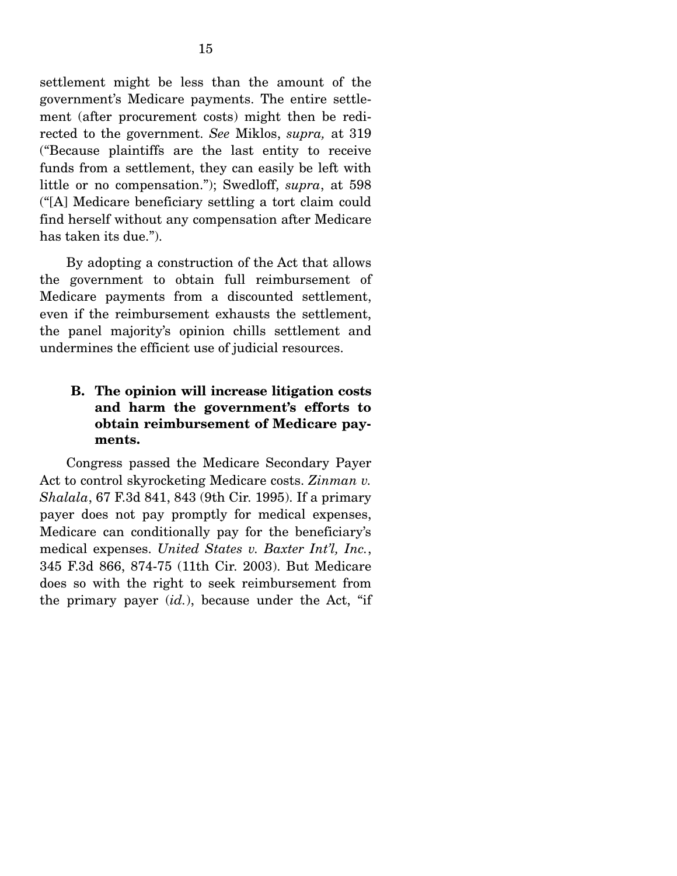settlement might be less than the amount of the government's Medicare payments. The entire settlement (after procurement costs) might then be redirected to the government. *See* Miklos, *supra,* at 319 ("Because plaintiffs are the last entity to receive funds from a settlement, they can easily be left with little or no compensation."); Swedloff, *supra*, at 598 ("[A] Medicare beneficiary settling a tort claim could find herself without any compensation after Medicare has taken its due.").

 By adopting a construction of the Act that allows the government to obtain full reimbursement of Medicare payments from a discounted settlement, even if the reimbursement exhausts the settlement, the panel majority's opinion chills settlement and undermines the efficient use of judicial resources.

## **B. The opinion will increase litigation costs and harm the government's efforts to obtain reimbursement of Medicare payments.**

 Congress passed the Medicare Secondary Payer Act to control skyrocketing Medicare costs. *Zinman v. Shalala*, 67 F.3d 841, 843 (9th Cir. 1995). If a primary payer does not pay promptly for medical expenses, Medicare can conditionally pay for the beneficiary's medical expenses. *United States v. Baxter Int'l, Inc.*, 345 F.3d 866, 874-75 (11th Cir. 2003). But Medicare does so with the right to seek reimbursement from the primary payer (*id.*), because under the Act, "if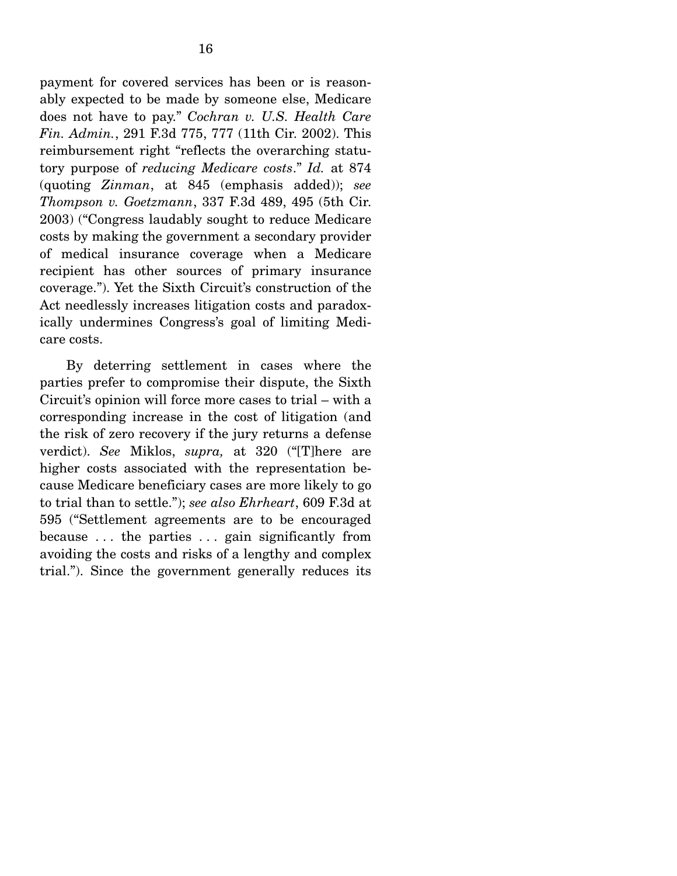payment for covered services has been or is reasonably expected to be made by someone else, Medicare does not have to pay." *Cochran v. U.S. Health Care Fin. Admin.*, 291 F.3d 775, 777 (11th Cir. 2002). This reimbursement right "reflects the overarching statutory purpose of *reducing Medicare costs*." *Id.* at 874 (quoting *Zinman*, at 845 (emphasis added)); *see Thompson v. Goetzmann*, 337 F.3d 489, 495 (5th Cir. 2003) ("Congress laudably sought to reduce Medicare costs by making the government a secondary provider of medical insurance coverage when a Medicare recipient has other sources of primary insurance coverage."). Yet the Sixth Circuit's construction of the Act needlessly increases litigation costs and paradoxically undermines Congress's goal of limiting Medicare costs.

 By deterring settlement in cases where the parties prefer to compromise their dispute, the Sixth Circuit's opinion will force more cases to trial – with a corresponding increase in the cost of litigation (and the risk of zero recovery if the jury returns a defense verdict). *See* Miklos, *supra,* at 320 ("[T]here are higher costs associated with the representation because Medicare beneficiary cases are more likely to go to trial than to settle."); *see also Ehrheart*, 609 F.3d at 595 ("Settlement agreements are to be encouraged because . . . the parties . . . gain significantly from avoiding the costs and risks of a lengthy and complex trial."). Since the government generally reduces its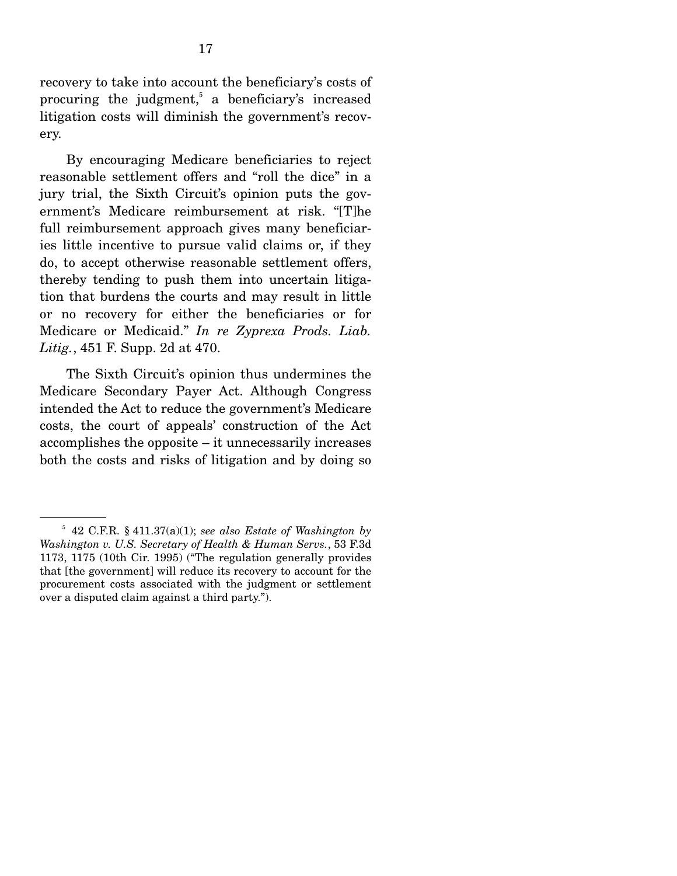recovery to take into account the beneficiary's costs of procuring the judgment,<sup>5</sup> a beneficiary's increased litigation costs will diminish the government's recovery.

 By encouraging Medicare beneficiaries to reject reasonable settlement offers and "roll the dice" in a jury trial, the Sixth Circuit's opinion puts the government's Medicare reimbursement at risk. "[T]he full reimbursement approach gives many beneficiaries little incentive to pursue valid claims or, if they do, to accept otherwise reasonable settlement offers, thereby tending to push them into uncertain litigation that burdens the courts and may result in little or no recovery for either the beneficiaries or for Medicare or Medicaid." *In re Zyprexa Prods. Liab. Litig.*, 451 F. Supp. 2d at 470.

 The Sixth Circuit's opinion thus undermines the Medicare Secondary Payer Act. Although Congress intended the Act to reduce the government's Medicare costs, the court of appeals' construction of the Act accomplishes the opposite – it unnecessarily increases both the costs and risks of litigation and by doing so

 $5$  42 C.F.R.  $\S$  411.37(a)(1); see also *Estate of Washington by Washington v. U.S. Secretary of Health & Human Servs.*, 53 F.3d 1173, 1175 (10th Cir. 1995) ("The regulation generally provides that [the government] will reduce its recovery to account for the procurement costs associated with the judgment or settlement over a disputed claim against a third party.").